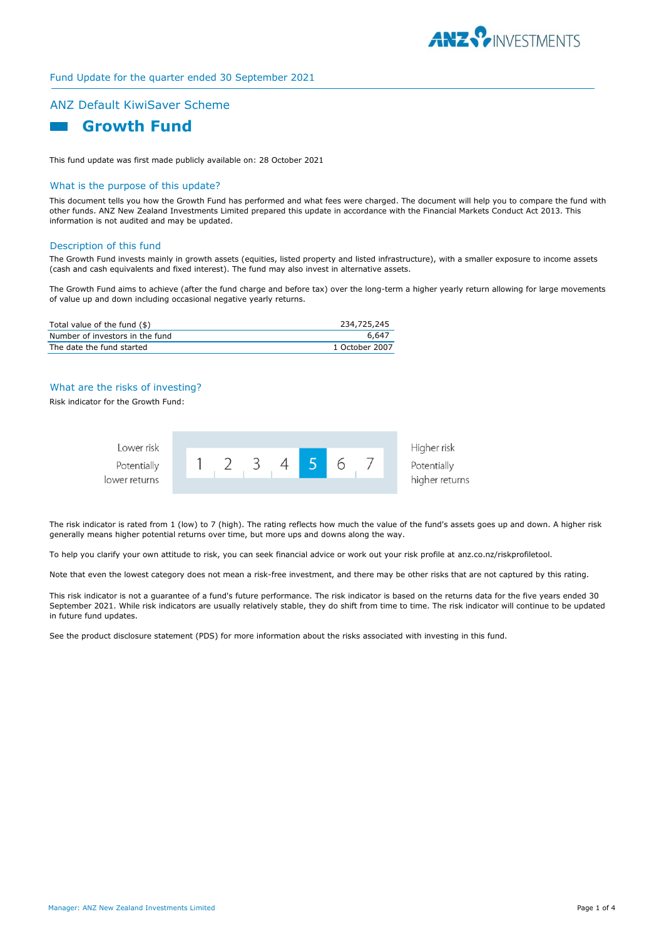

### Fund Update for the quarter ended 30 September 2021

# ANZ Default KiwiSaver Scheme



This fund update was first made publicly available on: 28 October 2021

## What is the purpose of this update?

This document tells you how the Growth Fund has performed and what fees were charged. The document will help you to compare the fund with other funds. ANZ New Zealand Investments Limited prepared this update in accordance with the Financial Markets Conduct Act 2013. This information is not audited and may be updated.

#### Description of this fund

The Growth Fund invests mainly in growth assets (equities, listed property and listed infrastructure), with a smaller exposure to income assets (cash and cash equivalents and fixed interest). The fund may also invest in alternative assets.

The Growth Fund aims to achieve (after the fund charge and before tax) over the long-term a higher yearly return allowing for large movements of value up and down including occasional negative yearly returns.

| Total value of the fund (\$)    | 234,725,245    |
|---------------------------------|----------------|
| Number of investors in the fund | 6.647          |
| The date the fund started       | 1 October 2007 |

## What are the risks of investing?

Risk indicator for the Growth Fund:



The risk indicator is rated from 1 (low) to 7 (high). The rating reflects how much the value of the fund's assets goes up and down. A higher risk generally means higher potential returns over time, but more ups and downs along the way.

To help you clarify your own attitude to risk, you can seek financial advice or work out your risk profile at anz.co.nz/riskprofiletool.

Note that even the lowest category does not mean a risk-free investment, and there may be other risks that are not captured by this rating.

This risk indicator is not a guarantee of a fund's future performance. The risk indicator is based on the returns data for the five years ended 30 September 2021. While risk indicators are usually relatively stable, they do shift from time to time. The risk indicator will continue to be updated in future fund updates.

See the product disclosure statement (PDS) for more information about the risks associated with investing in this fund.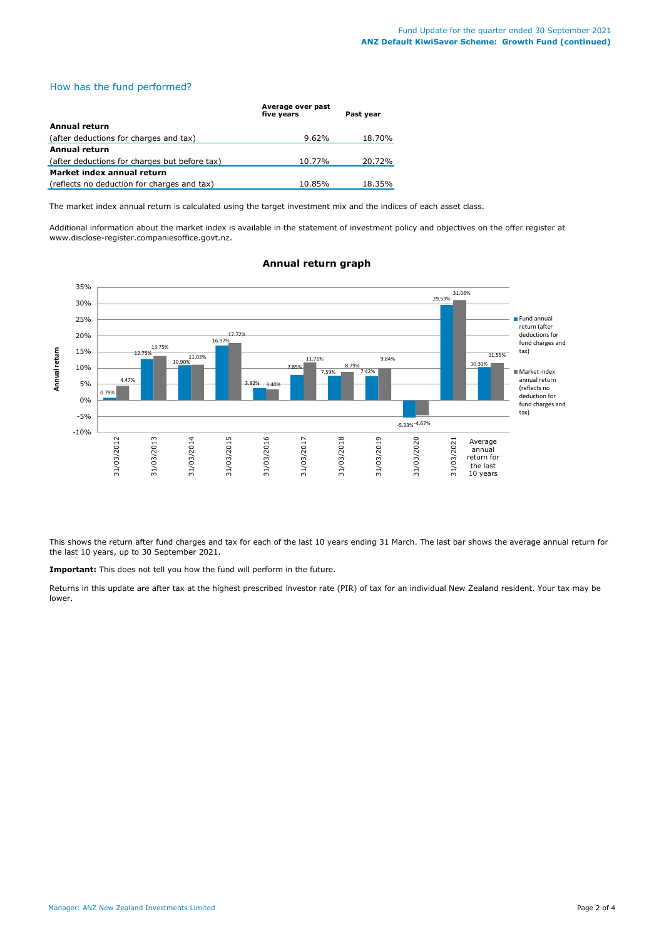## How has the fund performed?

|                                               | Average over past<br>five vears | Past vear |
|-----------------------------------------------|---------------------------------|-----------|
| Annual return                                 |                                 |           |
| (after deductions for charges and tax)        | $9.62\%$                        | 18.70%    |
| <b>Annual return</b>                          |                                 |           |
| (after deductions for charges but before tax) | 10.77%                          | 20.72%    |
| Market index annual return                    |                                 |           |
| (reflects no deduction for charges and tax)   | 10.85%                          | 18.35%    |

The market index annual return is calculated using the target investment mix and the indices of each asset class.

Additional information about the market index is available in the statement of investment policy and objectives on the offer register at www.disclose-register.companiesoffice.govt.nz.



## **Annual return graph**

This shows the return after fund charges and tax for each of the last 10 years ending 31 March. The last bar shows the average annual return for the last 10 years, up to 30 September 2021.

**Important:** This does not tell you how the fund will perform in the future.

Returns in this update are after tax at the highest prescribed investor rate (PIR) of tax for an individual New Zealand resident. Your tax may be lower.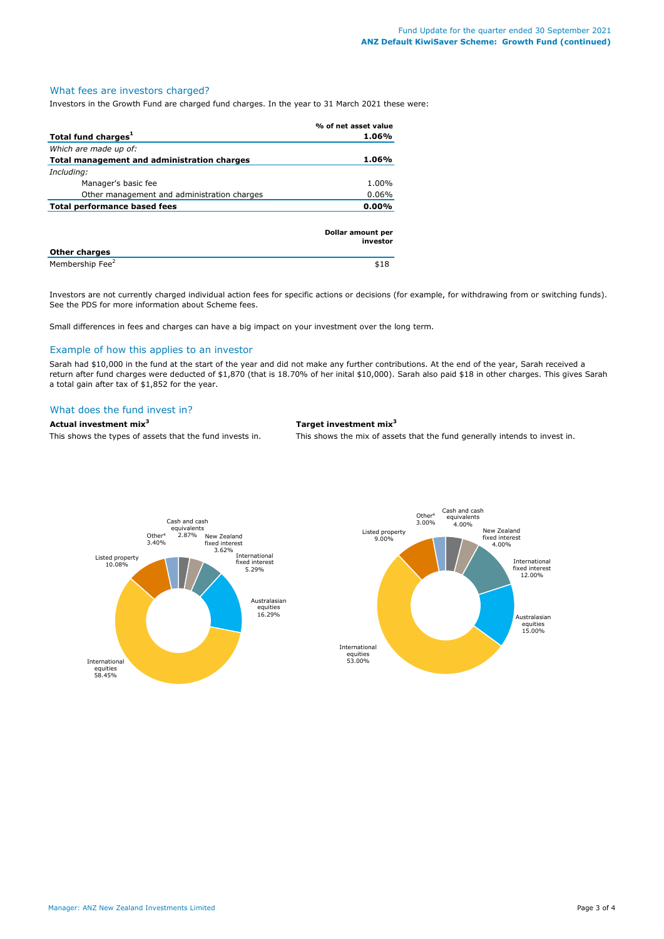### What fees are investors charged?

Investors in the Growth Fund are charged fund charges. In the year to 31 March 2021 these were:

|                                             | % of net asset value          |
|---------------------------------------------|-------------------------------|
| Total fund charges <sup>1</sup>             | 1.06%                         |
| Which are made up of:                       |                               |
| Total management and administration charges | 1.06%                         |
| Including:                                  |                               |
| Manager's basic fee                         | 1.00%                         |
| Other management and administration charges | $0.06\%$                      |
| <b>Total performance based fees</b>         | $0.00\%$                      |
| Other charges                               | Dollar amount per<br>investor |

**Other charges**  Membership Fee<sup>2</sup>  $\frac{1}{18}$ 

Investors are not currently charged individual action fees for specific actions or decisions (for example, for withdrawing from or switching funds). See the PDS for more information about Scheme fees.

Small differences in fees and charges can have a big impact on your investment over the long term.

#### Example of how this applies to an investor

Sarah had \$10,000 in the fund at the start of the year and did not make any further contributions. At the end of the year, Sarah received a return after fund charges were deducted of \$1,870 (that is 18.70% of her inital \$10,000). Sarah also paid \$18 in other charges. This gives Sarah a total gain after tax of \$1,852 for the year.

#### What does the fund invest in?

## **Actual investment mix<sup>3</sup> Target investment mix<sup>3</sup>**

This shows the types of assets that the fund invests in. This shows the mix of assets that the fund generally intends to invest in.